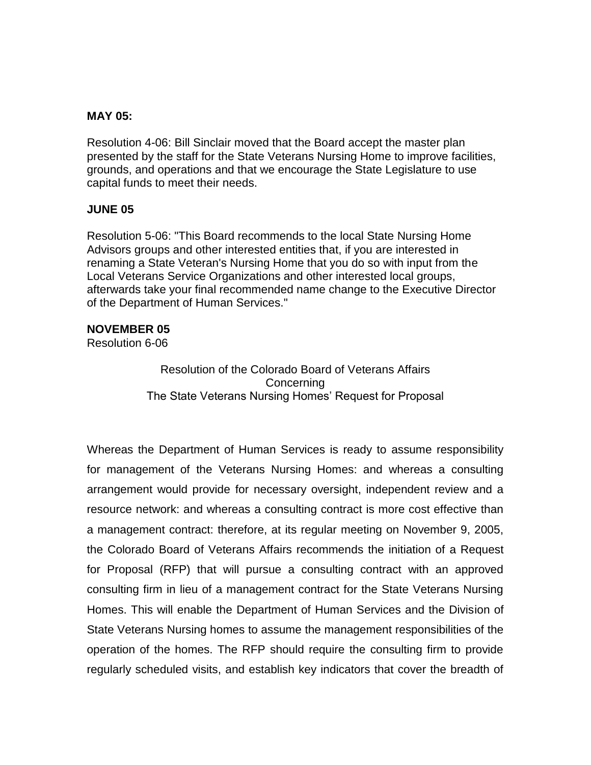### **MAY 05:**

Resolution 4-06: Bill Sinclair moved that the Board accept the master plan presented by the staff for the State Veterans Nursing Home to improve facilities, grounds, and operations and that we encourage the State Legislature to use capital funds to meet their needs.

### **JUNE 05**

Resolution 5-06: "This Board recommends to the local State Nursing Home Advisors groups and other interested entities that, if you are interested in renaming a State Veteran's Nursing Home that you do so with input from the Local Veterans Service Organizations and other interested local groups, afterwards take your final recommended name change to the Executive Director of the Department of Human Services."

### **NOVEMBER 05**

Resolution 6-06

Resolution of the Colorado Board of Veterans Affairs **Concerning** The State Veterans Nursing Homes' Request for Proposal

Whereas the Department of Human Services is ready to assume responsibility for management of the Veterans Nursing Homes: and whereas a consulting arrangement would provide for necessary oversight, independent review and a resource network: and whereas a consulting contract is more cost effective than a management contract: therefore, at its regular meeting on November 9, 2005, the Colorado Board of Veterans Affairs recommends the initiation of a Request for Proposal (RFP) that will pursue a consulting contract with an approved consulting firm in lieu of a management contract for the State Veterans Nursing Homes. This will enable the Department of Human Services and the Division of State Veterans Nursing homes to assume the management responsibilities of the operation of the homes. The RFP should require the consulting firm to provide regularly scheduled visits, and establish key indicators that cover the breadth of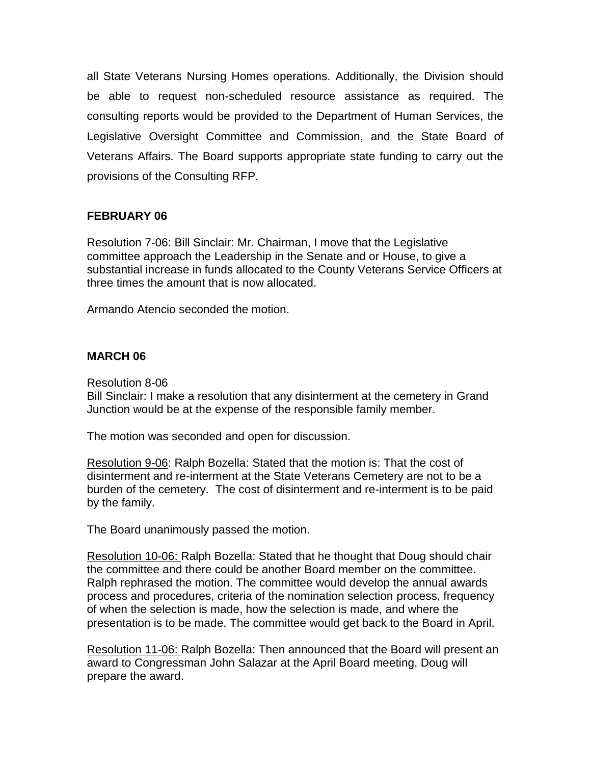all State Veterans Nursing Homes operations. Additionally, the Division should be able to request non-scheduled resource assistance as required. The consulting reports would be provided to the Department of Human Services, the Legislative Oversight Committee and Commission, and the State Board of Veterans Affairs. The Board supports appropriate state funding to carry out the provisions of the Consulting RFP.

# **FEBRUARY 06**

Resolution 7-06: Bill Sinclair: Mr. Chairman, I move that the Legislative committee approach the Leadership in the Senate and or House, to give a substantial increase in funds allocated to the County Veterans Service Officers at three times the amount that is now allocated.

Armando Atencio seconded the motion.

### **MARCH 06**

Resolution 8-06 Bill Sinclair: I make a resolution that any disinterment at the cemetery in Grand Junction would be at the expense of the responsible family member.

The motion was seconded and open for discussion.

Resolution 9-06: Ralph Bozella: Stated that the motion is: That the cost of disinterment and re-interment at the State Veterans Cemetery are not to be a burden of the cemetery. The cost of disinterment and re-interment is to be paid by the family.

The Board unanimously passed the motion.

Resolution 10-06: Ralph Bozella: Stated that he thought that Doug should chair the committee and there could be another Board member on the committee. Ralph rephrased the motion. The committee would develop the annual awards process and procedures, criteria of the nomination selection process, frequency of when the selection is made, how the selection is made, and where the presentation is to be made. The committee would get back to the Board in April.

Resolution 11-06: Ralph Bozella: Then announced that the Board will present an award to Congressman John Salazar at the April Board meeting. Doug will prepare the award.